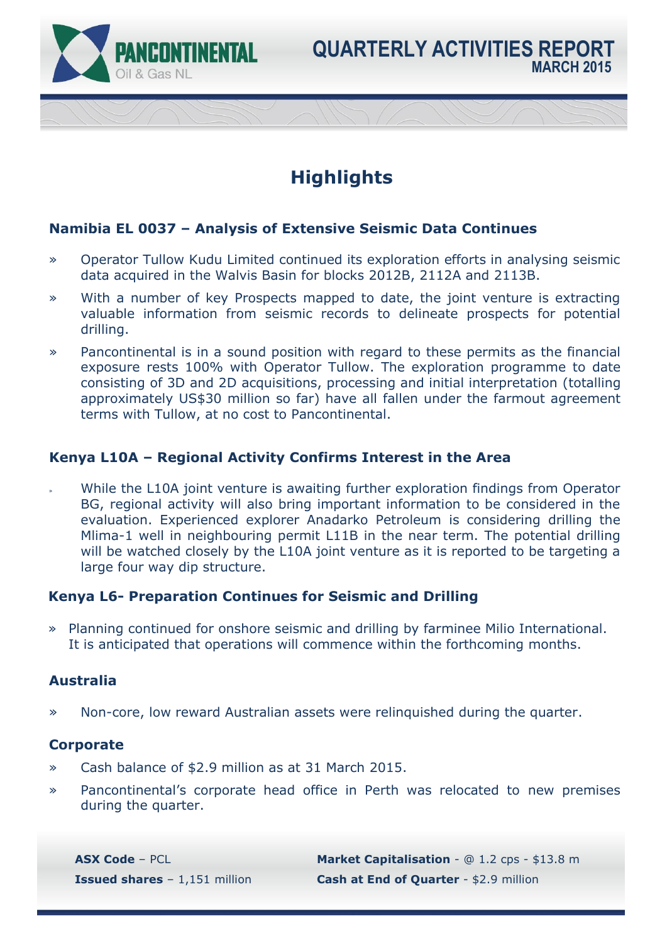

## **Highlights**

### **Namibia EL 0037 – Analysis of Extensive Seismic Data Continues**

- » Operator Tullow Kudu Limited continued its exploration efforts in analysing seismic data acquired in the Walvis Basin for blocks 2012B, 2112A and 2113B.
- » With a number of key Prospects mapped to date, the joint venture is extracting valuable information from seismic records to delineate prospects for potential drilling.
- » Pancontinental is in a sound position with regard to these permits as the financial exposure rests 100% with Operator Tullow. The exploration programme to date consisting of 3D and 2D acquisitions, processing and initial interpretation (totalling approximately US\$30 million so far) have all fallen under the farmout agreement terms with Tullow, at no cost to Pancontinental.

### **Kenya L10A – Regional Activity Confirms Interest in the Area**

While the L10A joint venture is awaiting further exploration findings from Operator BG, regional activity will also bring important information to be considered in the evaluation. Experienced explorer Anadarko Petroleum is considering drilling the Mlima-1 well in neighbouring permit L11B in the near term. The potential drilling will be watched closely by the L10A joint venture as it is reported to be targeting a large four way dip structure.

#### **Kenya L6- Preparation Continues for Seismic and Drilling**

» Planning continued for onshore seismic and drilling by farminee Milio International. It is anticipated that operations will commence within the forthcoming months.

#### **Australia**

» Non-core, low reward Australian assets were relinquished during the quarter.

### **Corporate**

- » Cash balance of \$2.9 million as at 31 March 2015.
- » Pancontinental's corporate head office in Perth was relocated to new premises during the quarter.

**ASX Code** – PCL **Market Capitalisation** - @ 1.2 cps - \$13.8 m **Issued shares** – 1,151 million **Cash at End of Quarter** - \$2.9 million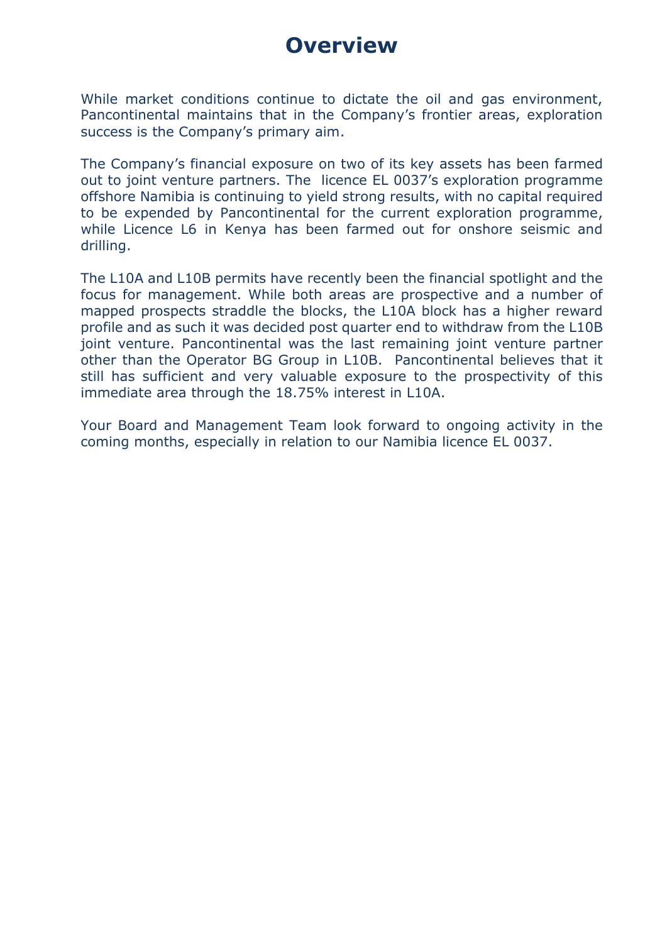## **Overview**

While market conditions continue to dictate the oil and gas environment, Pancontinental maintains that in the Company's frontier areas, exploration success is the Company's primary aim.

The Company's financial exposure on two of its key assets has been farmed out to joint venture partners. The licence EL 0037's exploration programme offshore Namibia is continuing to yield strong results, with no capital required to be expended by Pancontinental for the current exploration programme, while Licence L6 in Kenya has been farmed out for onshore seismic and drilling.

The L10A and L10B permits have recently been the financial spotlight and the focus for management. While both areas are prospective and a number of mapped prospects straddle the blocks, the L10A block has a higher reward profile and as such it was decided post quarter end to withdraw from the L10B joint venture. Pancontinental was the last remaining joint venture partner other than the Operator BG Group in L10B. Pancontinental believes that it still has sufficient and very valuable exposure to the prospectivity of this immediate area through the 18.75% interest in L10A.

Your Board and Management Team look forward to ongoing activity in the coming months, especially in relation to our Namibia licence EL 0037.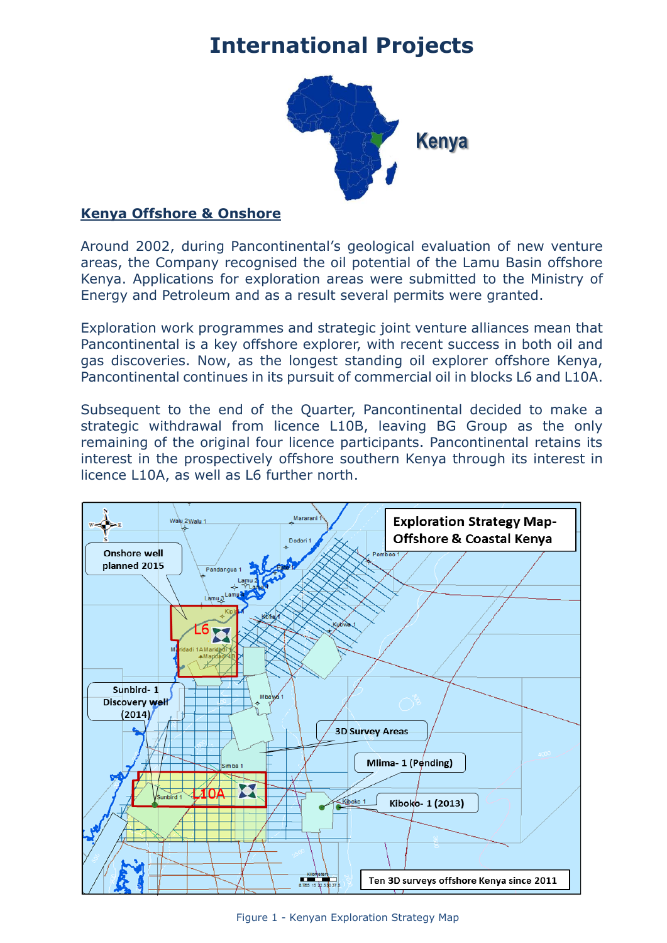## **International Projects**



### **Kenya Offshore & Onshore**

Around 2002, during Pancontinental's geological evaluation of new venture areas, the Company recognised the oil potential of the Lamu Basin offshore Kenya. Applications for exploration areas were submitted to the Ministry of Energy and Petroleum and as a result several permits were granted.

Exploration work programmes and strategic joint venture alliances mean that Pancontinental is a key offshore explorer, with recent success in both oil and gas discoveries. Now, as the longest standing oil explorer offshore Kenya, Pancontinental continues in its pursuit of commercial oil in blocks L6 and L10A.

Subsequent to the end of the Quarter, Pancontinental decided to make a strategic withdrawal from licence L10B, leaving BG Group as the only remaining of the original four licence participants. Pancontinental retains its interest in the prospectively offshore southern Kenya through its interest in licence L10A, as well as L6 further north.

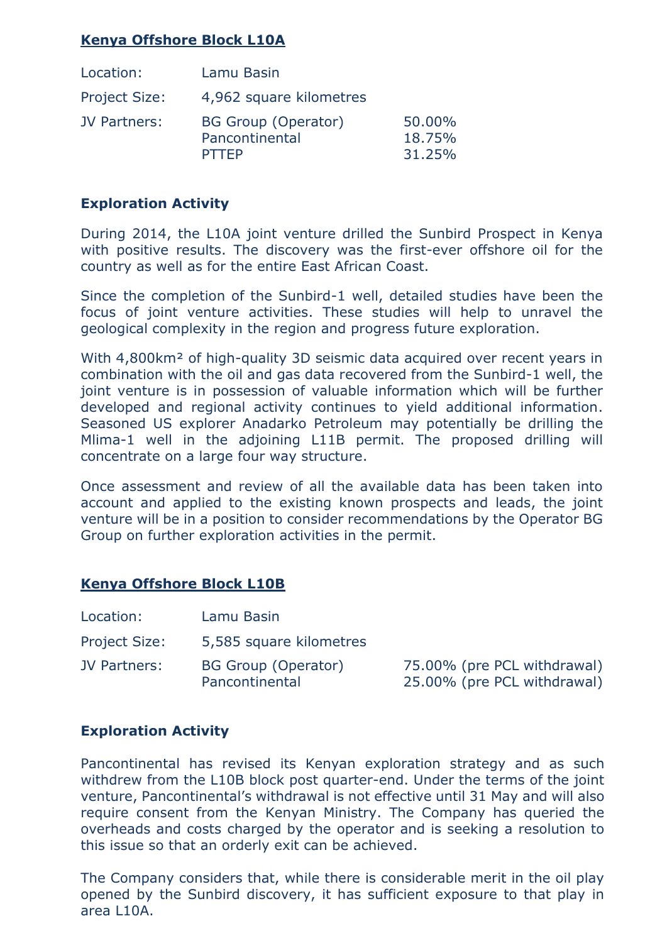### **Kenya Offshore Block L10A**

| Location:            | Lamu Basin                                            |                            |
|----------------------|-------------------------------------------------------|----------------------------|
| <b>Project Size:</b> | 4,962 square kilometres                               |                            |
| <b>JV Partners:</b>  | BG Group (Operator)<br>Pancontinental<br><b>PTTFP</b> | 50.00%<br>18.75%<br>31.25% |

#### **Exploration Activity**

During 2014, the L10A joint venture drilled the Sunbird Prospect in Kenya with positive results. The discovery was the first-ever offshore oil for the country as well as for the entire East African Coast.

Since the completion of the Sunbird-1 well, detailed studies have been the focus of joint venture activities. These studies will help to unravel the geological complexity in the region and progress future exploration.

With 4,800 km<sup>2</sup> of high-quality 3D seismic data acquired over recent years in combination with the oil and gas data recovered from the Sunbird-1 well, the joint venture is in possession of valuable information which will be further developed and regional activity continues to yield additional information. Seasoned US explorer Anadarko Petroleum may potentially be drilling the Mlima-1 well in the adjoining L11B permit. The proposed drilling will concentrate on a large four way structure.

Once assessment and review of all the available data has been taken into account and applied to the existing known prospects and leads, the joint venture will be in a position to consider recommendations by the Operator BG Group on further exploration activities in the permit.

### **Kenya Offshore Block L10B**

| Location:            | Lamu Basin                                   |                                                            |
|----------------------|----------------------------------------------|------------------------------------------------------------|
| <b>Project Size:</b> | 5,585 square kilometres                      |                                                            |
| <b>JV Partners:</b>  | <b>BG Group (Operator)</b><br>Pancontinental | 75.00% (pre PCL withdrawal)<br>25.00% (pre PCL withdrawal) |

#### **Exploration Activity**

Pancontinental has revised its Kenyan exploration strategy and as such withdrew from the L10B block post quarter-end. Under the terms of the joint venture, Pancontinental's withdrawal is not effective until 31 May and will also require consent from the Kenyan Ministry. The Company has queried the overheads and costs charged by the operator and is seeking a resolution to this issue so that an orderly exit can be achieved.

The Company considers that, while there is considerable merit in the oil play opened by the Sunbird discovery, it has sufficient exposure to that play in area L10A.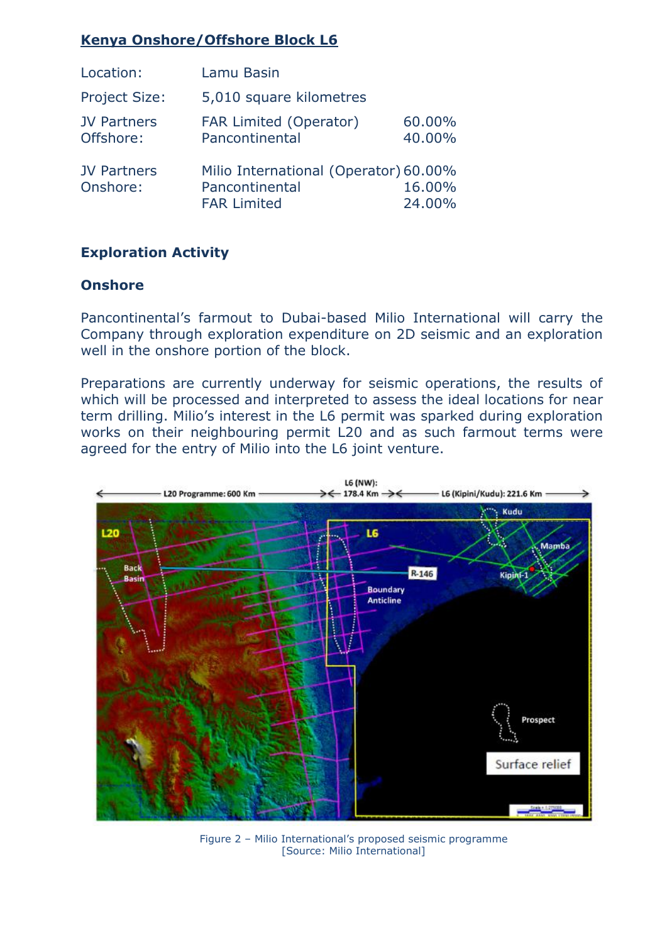## **Kenya Onshore/Offshore Block L6**

| Location:                       | Lamu Basin                                                                    |                  |
|---------------------------------|-------------------------------------------------------------------------------|------------------|
| <b>Project Size:</b>            | 5,010 square kilometres                                                       |                  |
| <b>JV Partners</b><br>Offshore: | <b>FAR Limited (Operator)</b><br>Pancontinental                               | 60.00%<br>40.00% |
| <b>JV Partners</b><br>Onshore:  | Milio International (Operator) 60.00%<br>Pancontinental<br><b>FAR Limited</b> | 16.00%<br>24.00% |

### **Exploration Activity**

### **Onshore**

Pancontinental's farmout to Dubai-based Milio International will carry the Company through exploration expenditure on 2D seismic and an exploration well in the onshore portion of the block.

Preparations are currently underway for seismic operations, the results of which will be processed and interpreted to assess the ideal locations for near term drilling. Milio's interest in the L6 permit was sparked during exploration works on their neighbouring permit L20 and as such farmout terms were agreed for the entry of Milio into the L6 joint venture.



Figure 2 – Milio International's proposed seismic programme [Source: Milio International]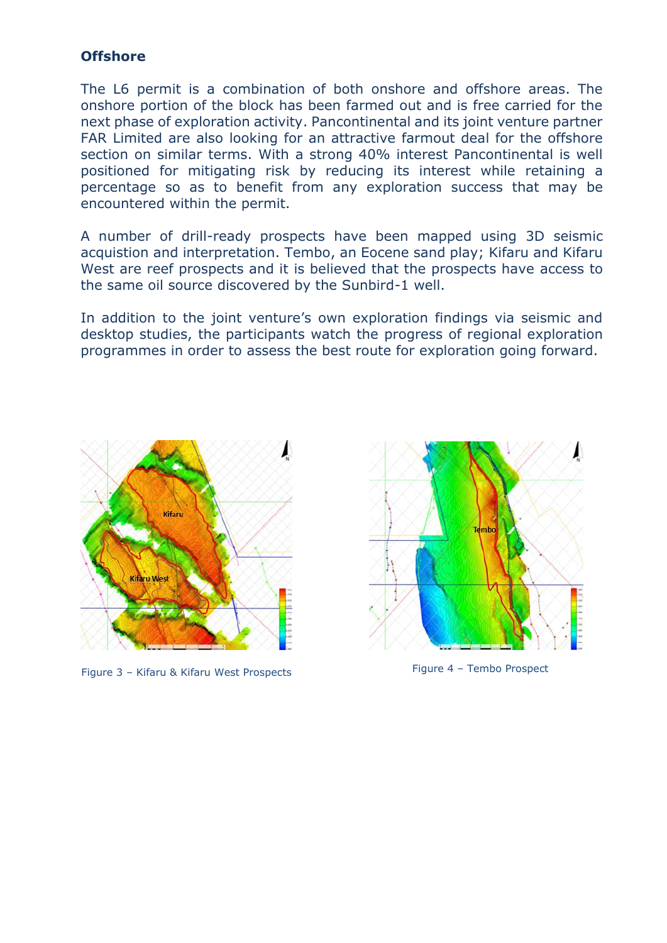#### **Offshore**

The L6 permit is a combination of both onshore and offshore areas. The onshore portion of the block has been farmed out and is free carried for the next phase of exploration activity. Pancontinental and its joint venture partner FAR Limited are also looking for an attractive farmout deal for the offshore section on similar terms. With a strong 40% interest Pancontinental is well positioned for mitigating risk by reducing its interest while retaining a percentage so as to benefit from any exploration success that may be encountered within the permit.

A number of drill-ready prospects have been mapped using 3D seismic acquistion and interpretation. Tembo, an Eocene sand play; Kifaru and Kifaru West are reef prospects and it is believed that the prospects have access to the same oil source discovered by the Sunbird-1 well.

In addition to the joint venture's own exploration findings via seismic and desktop studies, the participants watch the progress of regional exploration programmes in order to assess the best route for exploration going forward.



Figure 3 – Kifaru & Kifaru West Prospects Figure 4 – Tembo Prospect

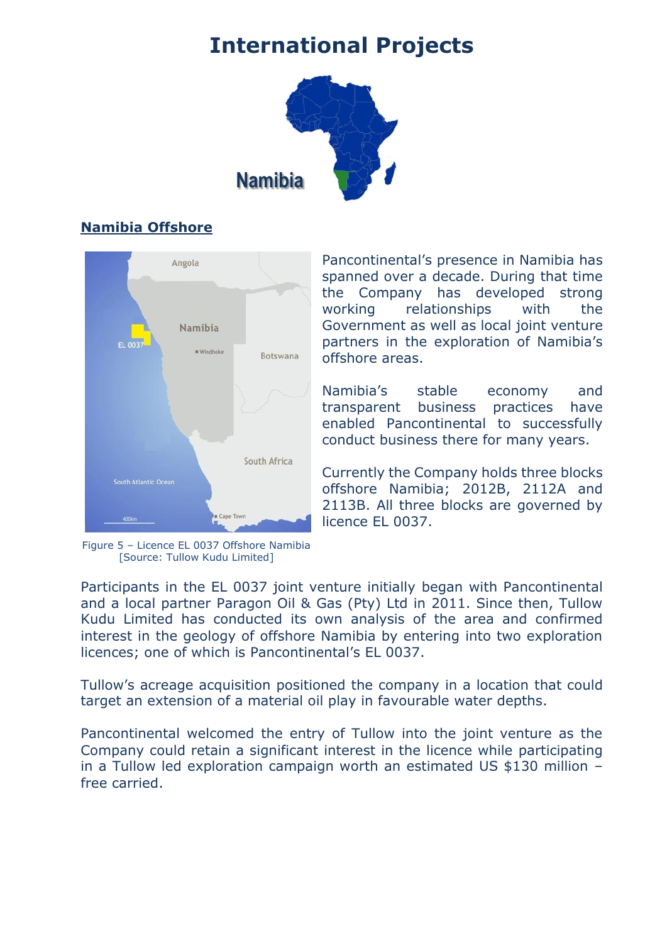## **International Projects**



## **Namibia Offshore**



Figure 5 – Licence EL 0037 Offshore Namibia [Source: Tullow Kudu Limited]

Pancontinental's presence in Namibia has spanned over a decade. During that time the Company has developed strong working relationships with the Government as well as local joint venture partners in the exploration of Namibia's offshore areas.

Namibia's stable economy and transparent business practices have enabled Pancontinental to successfully conduct business there for many years.

Currently the Company holds three blocks offshore Namibia; 2012B, 2112A and 2113B. All three blocks are governed by licence EL 0037.

Participants in the EL 0037 joint venture initially began with Pancontinental and a local partner Paragon Oil & Gas (Pty) Ltd in 2011. Since then, Tullow Kudu Limited has conducted its own analysis of the area and confirmed interest in the geology of offshore Namibia by entering into two exploration licences; one of which is Pancontinental's EL 0037.

Tullow's acreage acquisition positioned the company in a location that could target an extension of a material oil play in favourable water depths.

Pancontinental welcomed the entry of Tullow into the joint venture as the Company could retain a significant interest in the licence while participating in a Tullow led exploration campaign worth an estimated US \$130 million – free carried.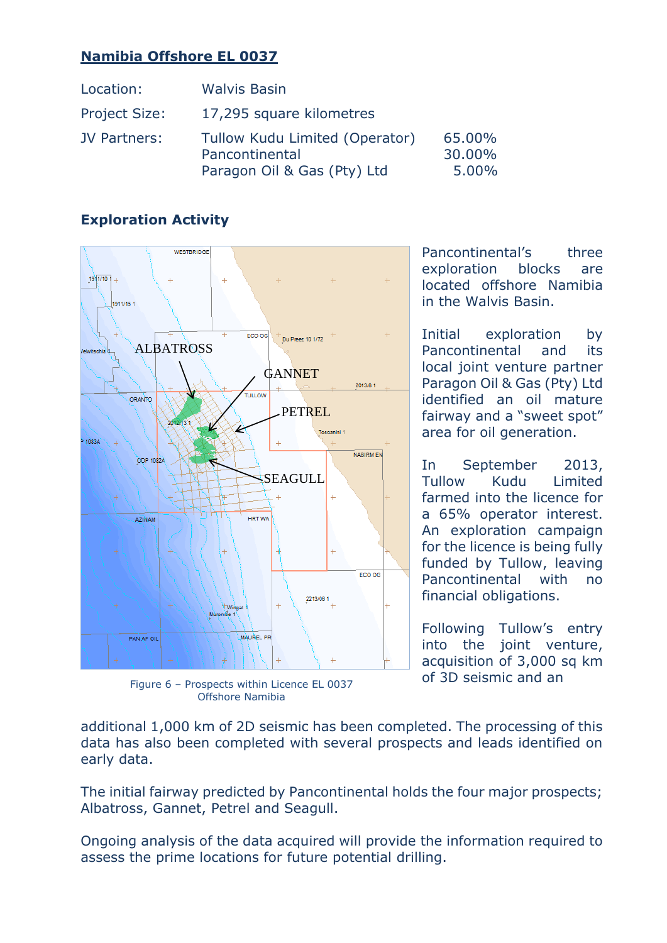## **Namibia Offshore EL 0037**

| Location:            | <b>Walvis Basin</b>                                                             |                           |
|----------------------|---------------------------------------------------------------------------------|---------------------------|
| <b>Project Size:</b> | 17,295 square kilometres                                                        |                           |
| <b>JV Partners:</b>  | Tullow Kudu Limited (Operator)<br>Pancontinental<br>Paragon Oil & Gas (Pty) Ltd | 65,00%<br>30.00%<br>5.00% |

## **Exploration Activity**



Figure 6 – Prospects within Licence EL 0037 Offshore Namibia

Pancontinental's three exploration blocks are located offshore Namibia in the Walvis Basin.

Initial exploration by Pancontinental and its local joint venture partner Paragon Oil & Gas (Pty) Ltd identified an oil mature fairway and a "sweet spot" area for oil generation.

In September 2013, Tullow Kudu Limited farmed into the licence for a 65% operator interest. An exploration campaign for the licence is being fully funded by Tullow, leaving Pancontinental with no financial obligations.

Following Tullow's entry into the joint venture, acquisition of 3,000 sq km of 3D seismic and an

additional 1,000 km of 2D seismic has been completed. The processing of this data has also been completed with several prospects and leads identified on early data.

The initial fairway predicted by Pancontinental holds the four major prospects; Albatross, Gannet, Petrel and Seagull.

Ongoing analysis of the data acquired will provide the information required to assess the prime locations for future potential drilling.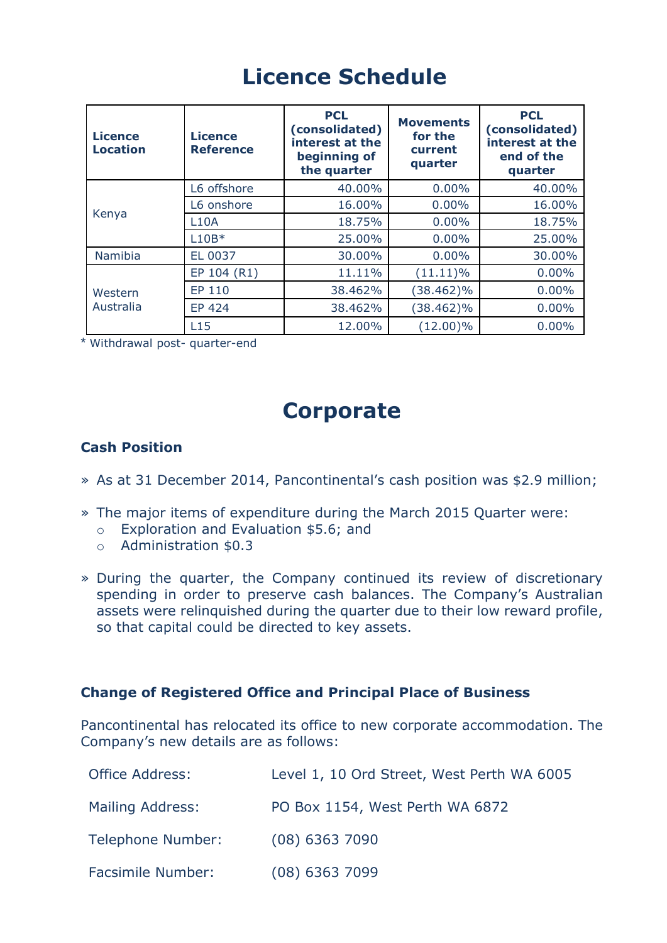# **Licence Schedule**

| <b>Licence</b><br><b>Location</b> | <b>Licence</b><br><b>Reference</b> | <b>PCL</b><br>(consolidated)<br>interest at the<br>beginning of<br>the quarter | <b>Movements</b><br>for the<br>current<br>quarter | <b>PCL</b><br>(consolidated)<br>interest at the<br>end of the<br>quarter |
|-----------------------------------|------------------------------------|--------------------------------------------------------------------------------|---------------------------------------------------|--------------------------------------------------------------------------|
| Kenya                             | L6 offshore                        | 40.00%                                                                         | 0.00%                                             | 40.00%                                                                   |
|                                   | L6 onshore                         | 16.00%                                                                         | 0.00%                                             | 16.00%                                                                   |
|                                   | <b>L10A</b>                        | 18.75%                                                                         | 0.00%                                             | 18.75%                                                                   |
|                                   | $L10B*$                            | 25.00%                                                                         | $0.00\%$                                          | 25.00%                                                                   |
| Namibia                           | EL 0037                            | 30.00%                                                                         | 0.00%                                             | 30.00%                                                                   |
| Western<br>Australia              | EP 104 (R1)                        | 11.11%                                                                         | $(11.11)\%$                                       | 0.00%                                                                    |
|                                   | EP 110                             | 38.462%                                                                        | $(38.462)\%$                                      | $0.00\%$                                                                 |
|                                   | <b>EP 424</b>                      | 38.462%                                                                        | $(38.462)\%$                                      | $0.00\%$                                                                 |
|                                   | L15                                | 12.00%                                                                         | $(12.00)\%$                                       | $0.00\%$                                                                 |

\* Withdrawal post- quarter-end

## **Corporate**

### **Cash Position**

- » As at 31 December 2014, Pancontinental's cash position was \$2.9 million;
- » The major items of expenditure during the March 2015 Quarter were:
	- o Exploration and Evaluation \$5.6; and
	- o Administration \$0.3
- » During the quarter, the Company continued its review of discretionary spending in order to preserve cash balances. The Company's Australian assets were relinquished during the quarter due to their low reward profile, so that capital could be directed to key assets.

#### **Change of Registered Office and Principal Place of Business**

Pancontinental has relocated its office to new corporate accommodation. The Company's new details are as follows:

| <b>Office Address:</b>   | Level 1, 10 Ord Street, West Perth WA 6005 |
|--------------------------|--------------------------------------------|
| Mailing Address:         | PO Box 1154, West Perth WA 6872            |
| Telephone Number:        | $(08)$ 6363 7090                           |
| <b>Facsimile Number:</b> | $(08)$ 6363 7099                           |